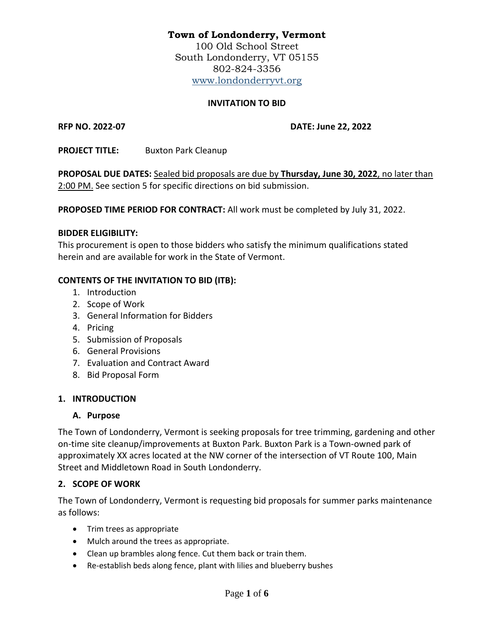# **Town of Londonderry, Vermont**

100 Old School Street South Londonderry, VT 05155 802-824-3356 [www.londonderryvt.org](http://www.londonderryvt.org/)

# **INVITATION TO BID**

**RFP NO. 2022-07 DATE: June 22, 2022**

**PROJECT TITLE:** Buxton Park Cleanup

**PROPOSAL DUE DATES:** Sealed bid proposals are due by **Thursday, June 30, 2022**, no later than 2:00 PM. See section 5 for specific directions on bid submission.

**PROPOSED TIME PERIOD FOR CONTRACT:** All work must be completed by July 31, 2022.

# **BIDDER ELIGIBILITY:**

This procurement is open to those bidders who satisfy the minimum qualifications stated herein and are available for work in the State of Vermont.

# **CONTENTS OF THE INVITATION TO BID (ITB):**

- 1. Introduction
- 2. Scope of Work
- 3. General Information for Bidders
- 4. Pricing
- 5. Submission of Proposals
- 6. General Provisions
- 7. Evaluation and Contract Award
- 8. Bid Proposal Form

# **1. INTRODUCTION**

# **A. Purpose**

The Town of Londonderry, Vermont is seeking proposals for tree trimming, gardening and other on-time site cleanup/improvements at Buxton Park. Buxton Park is a Town-owned park of approximately XX acres located at the NW corner of the intersection of VT Route 100, Main Street and Middletown Road in South Londonderry.

# **2. SCOPE OF WORK**

The Town of Londonderry, Vermont is requesting bid proposals for summer parks maintenance as follows:

- Trim trees as appropriate
- Mulch around the trees as appropriate.
- Clean up brambles along fence. Cut them back or train them.
- Re-establish beds along fence, plant with lilies and blueberry bushes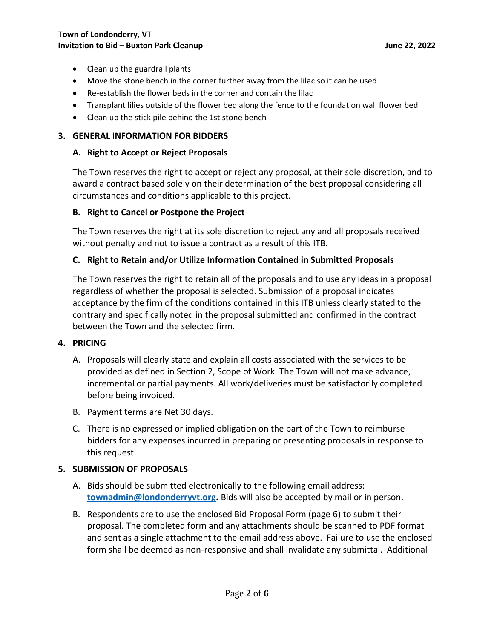- Clean up the guardrail plants
- Move the stone bench in the corner further away from the lilac so it can be used
- Re-establish the flower beds in the corner and contain the lilac
- Transplant lilies outside of the flower bed along the fence to the foundation wall flower bed
- Clean up the stick pile behind the 1st stone bench

#### **3. GENERAL INFORMATION FOR BIDDERS**

#### **A. Right to Accept or Reject Proposals**

The Town reserves the right to accept or reject any proposal, at their sole discretion, and to award a contract based solely on their determination of the best proposal considering all circumstances and conditions applicable to this project.

#### **B. Right to Cancel or Postpone the Project**

The Town reserves the right at its sole discretion to reject any and all proposals received without penalty and not to issue a contract as a result of this ITB.

#### **C. Right to Retain and/or Utilize Information Contained in Submitted Proposals**

The Town reserves the right to retain all of the proposals and to use any ideas in a proposal regardless of whether the proposal is selected. Submission of a proposal indicates acceptance by the firm of the conditions contained in this ITB unless clearly stated to the contrary and specifically noted in the proposal submitted and confirmed in the contract between the Town and the selected firm.

#### **4. PRICING**

- A. Proposals will clearly state and explain all costs associated with the services to be provided as defined in Section 2, Scope of Work. The Town will not make advance, incremental or partial payments. All work/deliveries must be satisfactorily completed before being invoiced.
- B. Payment terms are Net 30 days.
- C. There is no expressed or implied obligation on the part of the Town to reimburse bidders for any expenses incurred in preparing or presenting proposals in response to this request.

#### **5. SUBMISSION OF PROPOSALS**

- A. Bids should be submitted electronically to the following email address: **[townadmin@londonderryvt.org.](mailto:townadmin@londonderryvt.org)** Bids will also be accepted by mail or in person.
- B. Respondents are to use the enclosed Bid Proposal Form (page 6) to submit their proposal. The completed form and any attachments should be scanned to PDF format and sent as a single attachment to the email address above. Failure to use the enclosed form shall be deemed as non-responsive and shall invalidate any submittal. Additional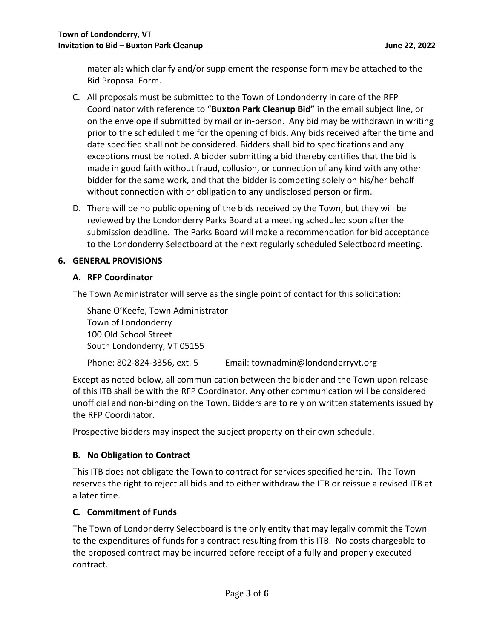materials which clarify and/or supplement the response form may be attached to the Bid Proposal Form.

- C. All proposals must be submitted to the Town of Londonderry in care of the RFP Coordinator with reference to "**Buxton Park Cleanup Bid"** in the email subject line, or on the envelope if submitted by mail or in-person. Any bid may be withdrawn in writing prior to the scheduled time for the opening of bids. Any bids received after the time and date specified shall not be considered. Bidders shall bid to specifications and any exceptions must be noted. A bidder submitting a bid thereby certifies that the bid is made in good faith without fraud, collusion, or connection of any kind with any other bidder for the same work, and that the bidder is competing solely on his/her behalf without connection with or obligation to any undisclosed person or firm.
- D. There will be no public opening of the bids received by the Town, but they will be reviewed by the Londonderry Parks Board at a meeting scheduled soon after the submission deadline. The Parks Board will make a recommendation for bid acceptance to the Londonderry Selectboard at the next regularly scheduled Selectboard meeting.

# **6. GENERAL PROVISIONS**

# **A. RFP Coordinator**

The Town Administrator will serve as the single point of contact for this solicitation:

Shane O'Keefe, Town Administrator Town of Londonderry 100 Old School Street South Londonderry, VT 05155

Phone: 802-824-3356, ext. 5 Email: townadmin@londonderryvt.org

Except as noted below, all communication between the bidder and the Town upon release of this ITB shall be with the RFP Coordinator. Any other communication will be considered unofficial and non-binding on the Town. Bidders are to rely on written statements issued by the RFP Coordinator.

Prospective bidders may inspect the subject property on their own schedule.

# **B. No Obligation to Contract**

This ITB does not obligate the Town to contract for services specified herein. The Town reserves the right to reject all bids and to either withdraw the ITB or reissue a revised ITB at a later time.

# **C. Commitment of Funds**

The Town of Londonderry Selectboard is the only entity that may legally commit the Town to the expenditures of funds for a contract resulting from this ITB. No costs chargeable to the proposed contract may be incurred before receipt of a fully and properly executed contract.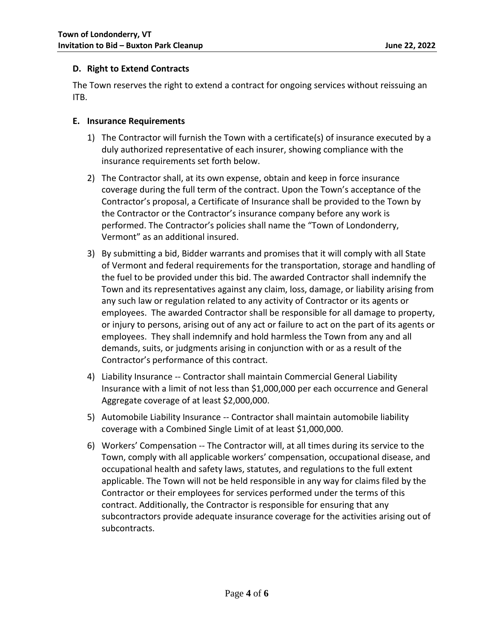# **D. Right to Extend Contracts**

The Town reserves the right to extend a contract for ongoing services without reissuing an ITB.

#### **E. Insurance Requirements**

- 1) The Contractor will furnish the Town with a certificate(s) of insurance executed by a duly authorized representative of each insurer, showing compliance with the insurance requirements set forth below.
- 2) The Contractor shall, at its own expense, obtain and keep in force insurance coverage during the full term of the contract. Upon the Town's acceptance of the Contractor's proposal, a Certificate of Insurance shall be provided to the Town by the Contractor or the Contractor's insurance company before any work is performed. The Contractor's policies shall name the "Town of Londonderry, Vermont" as an additional insured.
- 3) By submitting a bid, Bidder warrants and promises that it will comply with all State of Vermont and federal requirements for the transportation, storage and handling of the fuel to be provided under this bid. The awarded Contractor shall indemnify the Town and its representatives against any claim, loss, damage, or liability arising from any such law or regulation related to any activity of Contractor or its agents or employees. The awarded Contractor shall be responsible for all damage to property, or injury to persons, arising out of any act or failure to act on the part of its agents or employees. They shall indemnify and hold harmless the Town from any and all demands, suits, or judgments arising in conjunction with or as a result of the Contractor's performance of this contract.
- 4) Liability Insurance -- Contractor shall maintain Commercial General Liability Insurance with a limit of not less than \$1,000,000 per each occurrence and General Aggregate coverage of at least \$2,000,000.
- 5) Automobile Liability Insurance -- Contractor shall maintain automobile liability coverage with a Combined Single Limit of at least \$1,000,000.
- 6) Workers' Compensation -- The Contractor will, at all times during its service to the Town, comply with all applicable workers' compensation, occupational disease, and occupational health and safety laws, statutes, and regulations to the full extent applicable. The Town will not be held responsible in any way for claims filed by the Contractor or their employees for services performed under the terms of this contract. Additionally, the Contractor is responsible for ensuring that any subcontractors provide adequate insurance coverage for the activities arising out of subcontracts.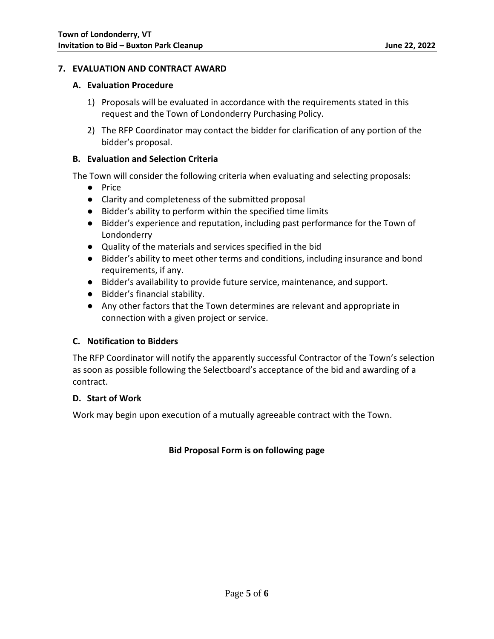# **7. EVALUATION AND CONTRACT AWARD**

#### **A. Evaluation Procedure**

- 1) Proposals will be evaluated in accordance with the requirements stated in this request and the Town of Londonderry Purchasing Policy.
- 2) The RFP Coordinator may contact the bidder for clarification of any portion of the bidder's proposal.

#### **B. Evaluation and Selection Criteria**

The Town will consider the following criteria when evaluating and selecting proposals:

- Price
- Clarity and completeness of the submitted proposal
- Bidder's ability to perform within the specified time limits
- Bidder's experience and reputation, including past performance for the Town of Londonderry
- Quality of the materials and services specified in the bid
- Bidder's ability to meet other terms and conditions, including insurance and bond requirements, if any.
- Bidder's availability to provide future service, maintenance, and support.
- Bidder's financial stability.
- Any other factors that the Town determines are relevant and appropriate in connection with a given project or service.

# **C. Notification to Bidders**

The RFP Coordinator will notify the apparently successful Contractor of the Town's selection as soon as possible following the Selectboard's acceptance of the bid and awarding of a contract.

# **D. Start of Work**

Work may begin upon execution of a mutually agreeable contract with the Town.

# **Bid Proposal Form is on following page**